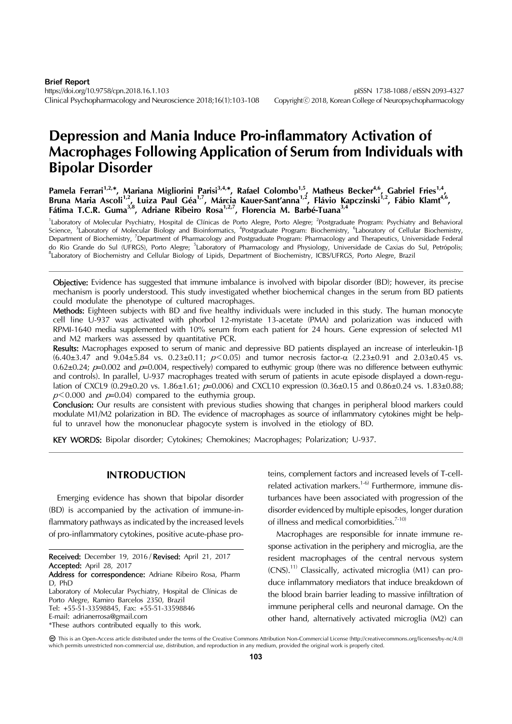# **Depression and Mania Induce Pro-inflammatory Activation of Macrophages Following Application of Serum from Individuals with Bipolar Disorder**

**Pamela Ferrari1,2,**\***, Mariana Migliorini Parisi3,4,**\***, Rafael Colombo1,5, Matheus Becker4,6, Gabriel Fries1,4,**  Bruna Maria Ascoli<sup>1,2</sup>, Luiza Paul Géa<sup>1,7</sup>, Márcia Kauer-Sant'anna<sup>1,2</sup>, Flávio Kapczinski<sup>1,2</sup>, Fábio Klamt<sup>4,6</sup>, **Fátima T.C.R. Guma3,8, Adriane Ribeiro Rosa1,2,7, Florencia M. Barbé-Tuana3,4**

<sup>1</sup>Laboratory of Molecular Psychiatry, Hospital de Clínicas de Porto Alegre, Porto Alegre; <sup>2</sup>Postgraduate Program: Psychiatry and Behavioral<br>Science, <sup>3</sup>Laboratory of Molecular Biology and Bioinformatics, <sup>4</sup>Postgraduate Department of Biochemistry, <sup>7</sup>Department of Pharmacology and Postgraduate Program: Pharmacology and Therapeutics, Universidade Federal do Rio Grande do Sul (UFRGS), Porto Alegre; <sup>5</sup> Laboratory of Pharmacology and Physiology, Universidade de Caxias do Sul, Petrópolis;<br><sup>8</sup> sharetary of Biachamistry and Gallular Bialagy of Livida Desertment of Biachamistry, <sup>8</sup>Laboratory of Biochemistry and Cellular Biology of Lipids, Department of Biochemistry, ICBS/UFRGS, Porto Alegre, Brazil

Objective: Evidence has suggested that immune imbalance is involved with bipolar disorder (BD); however, its precise mechanism is poorly understood. This study investigated whether biochemical changes in the serum from BD patients could modulate the phenotype of cultured macrophages.

Methods: Eighteen subjects with BD and five healthy individuals were included in this study. The human monocyte cell line U-937 was activated with phorbol 12-myristate 13-acetate (PMA) and polarization was induced with RPMI-1640 media supplemented with 10% serum from each patient for 24 hours. Gene expression of selected M1 and M2 markers was assessed by quantitative PCR.

Results: Macrophages exposed to serum of manic and depressive BD patients displayed an increase of interleukin-1 $\beta$  $(6.40\pm3.47$  and  $9.04\pm5.84$  vs.  $0.23\pm0.11$ ;  $p<0.05$ ) and tumor necrosis factor- $\alpha$   $(2.23\pm0.91$  and  $2.03\pm0.45$  vs.  $0.62\pm0.24$ ;  $p=0.002$  and  $p=0.004$ , respectively) compared to euthymic group (there was no difference between euthymic and controls). In parallel, U-937 macrophages treated with serum of patients in acute episode displayed a down-regulation of CXCL9 (0.29±0.20 vs. 1.86±1.61;  $p=0.006$ ) and CXCL10 expression (0.36±0.15 and 0.86±0.24 vs. 1.83±0.88;  $p<0.000$  and  $p=0.04$  compared to the euthymia group.

Conclusion: Our results are consistent with previous studies showing that changes in peripheral blood markers could modulate M1/M2 polarization in BD. The evidence of macrophages as source of inflammatory cytokines might be helpful to unravel how the mononuclear phagocyte system is involved in the etiology of BD.

KEY WORDS: Bipolar disorder; Cytokines; Chemokines; Macrophages; Polarization; U-937.

## **INTRODUCTION**

Emerging evidence has shown that bipolar disorder (BD) is accompanied by the activation of immune-inflammatory pathways as indicated by the increased levels of pro-inflammatory cytokines, positive acute-phase pro-

Laboratory of Molecular Psychiatry, Hospital de Clínicas de Porto Alegre, Ramiro Barcelos 2350, Brazil

teins, complement factors and increased levels of T-cellrelated activation markers.<sup>1-6)</sup> Furthermore, immune disturbances have been associated with progression of the disorder evidenced by multiple episodes, longer duration of illness and medical comorbidities.<sup>7-10)</sup>

Macrophages are responsible for innate immune response activation in the periphery and microglia, are the resident macrophages of the central nervous system  $(CNS)$ .<sup>11)</sup> Classically, activated microglia (M1) can produce inflammatory mediators that induce breakdown of the blood brain barrier leading to massive infiltration of immune peripheral cells and neuronal damage. On the other hand, alternatively activated microglia (M2) can

Received: December 19, 2016 / Revised: April 21, 2017 Accepted: April 28, 2017

Address for correspondence: Adriane Ribeiro Rosa, Pharm D, PhD

Tel: +55-51-33598845, Fax: +55-51-33598846

E-mail: adrianerrosa@gmail.com

<sup>\*</sup>These authors contributed equally to this work.

This is an Open-Access article distributed under the terms of the Creative Commons Attribution Non-Commercial License (http://creativecommons.org/licenses/by-nc/4.0) which permits unrestricted non-commercial use, distribution, and reproduction in any medium, provided the original work is properly cited.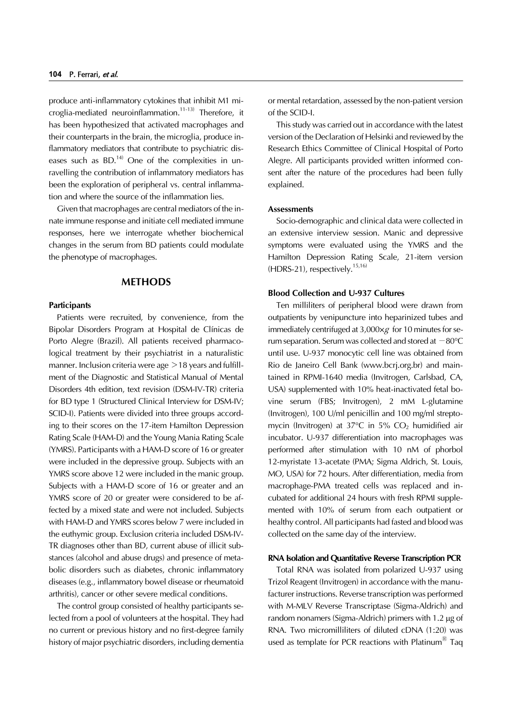produce anti-inflammatory cytokines that inhibit M1 microglia-mediated neuroinflammation.<sup>11-13)</sup> Therefore, it has been hypothesized that activated macrophages and their counterparts in the brain, the microglia, produce inflammatory mediators that contribute to psychiatric diseases such as  $BD$ <sup>14)</sup> One of the complexities in unravelling the contribution of inflammatory mediators has been the exploration of peripheral vs. central inflammation and where the source of the inflammation lies.

Given that macrophages are central mediators of the innate immune response and initiate cell mediated immune responses, here we interrogate whether biochemical changes in the serum from BD patients could modulate the phenotype of macrophages.

## **METHODS**

## **Participants**

Patients were recruited, by convenience, from the Bipolar Disorders Program at Hospital de Clínicas de Porto Alegre (Brazil). All patients received pharmacological treatment by their psychiatrist in a naturalistic manner. Inclusion criteria were age  $>18$  years and fulfillment of the Diagnostic and Statistical Manual of Mental Disorders 4th edition, text revision (DSM-IV-TR) criteria for BD type 1 (Structured Clinical Interview for DSM-IV; SCID-I). Patients were divided into three groups according to their scores on the 17-item Hamilton Depression Rating Scale (HAM-D) and the Young Mania Rating Scale (YMRS). Participants with a HAM-D score of 16 or greater were included in the depressive group. Subjects with an YMRS score above 12 were included in the manic group. Subjects with a HAM-D score of 16 or greater and an YMRS score of 20 or greater were considered to be affected by a mixed state and were not included. Subjects with HAM-D and YMRS scores below 7 were included in the euthymic group. Exclusion criteria included DSM-IV-TR diagnoses other than BD, current abuse of illicit substances (alcohol and abuse drugs) and presence of metabolic disorders such as diabetes, chronic inflammatory diseases (e.g., inflammatory bowel disease or rheumatoid arthritis), cancer or other severe medical conditions.

The control group consisted of healthy participants selected from a pool of volunteers at the hospital. They had no current or previous history and no first-degree family history of major psychiatric disorders, including dementia or mental retardation, assessed by the non-patient version of the SCID-I.

This study was carried out in accordance with the latest version of the Declaration of Helsinki and reviewed by the Research Ethics Committee of Clinical Hospital of Porto Alegre. All participants provided written informed consent after the nature of the procedures had been fully explained.

#### **Assessments**

Socio-demographic and clinical data were collected in an extensive interview session. Manic and depressive symptoms were evaluated using the YMRS and the Hamilton Depression Rating Scale, 21-item version  $(HDRS-21)$ , respectively.<sup>15,16)</sup>

## **Blood Collection and U-937 Cultures**

Ten milliliters of peripheral blood were drawn from outpatients by venipuncture into heparinized tubes and immediately centrifuged at  $3,000 \times g$  for 10 minutes for serum separation. Serum was collected and stored at −80°C until use. U-937 monocytic cell line was obtained from Rio de Janeiro Cell Bank (www.bcrj.org.br) and maintained in RPMI-1640 media (Invitrogen, Carlsbad, CA, USA) supplemented with 10% heat-inactivated fetal bovine serum (FBS; Invitrogen), 2 mM L-glutamine (Invitrogen), 100 U/ml penicillin and 100 mg/ml streptomycin (Invitrogen) at  $37^{\circ}$ C in  $5\%$  CO<sub>2</sub> humidified air incubator. U-937 differentiation into macrophages was performed after stimulation with 10 nM of phorbol 12-myristate 13-acetate (PMA; Sigma Aldrich, St. Louis, MO, USA) for 72 hours. After differentiation, media from macrophage-PMA treated cells was replaced and incubated for additional 24 hours with fresh RPMI supplemented with 10% of serum from each outpatient or healthy control. All participants had fasted and blood was collected on the same day of the interview.

#### **RNA Isolation and Quantitative Reverse Transcription PCR**

Total RNA was isolated from polarized U-937 using Trizol Reagent (Invitrogen) in accordance with the manufacturer instructions. Reverse transcription was performed with M-MLV Reverse Transcriptase (Sigma-Aldrich) and random nonamers (Sigma-Aldrich) primers with 1.2 μg of RNA. Two micromilliliters of diluted cDNA (1:20) was used as template for PCR reactions with Platinum<sup>®</sup> Taq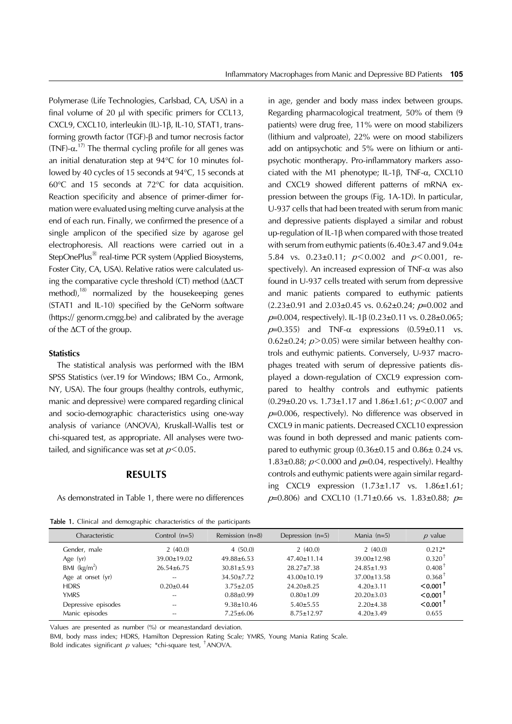Polymerase (Life Technologies, Carlsbad, CA, USA) in a final volume of 20  $\mu$ l with specific primers for CCL13, CXCL9, CXCL10, interleukin (IL)-1 $\beta$ , IL-10, STAT1, transforming growth factor (TGF)- $\beta$  and tumor necrosis factor (TNF)- $\alpha$ <sup>17)</sup> The thermal cycling profile for all genes was an initial denaturation step at 94°C for 10 minutes followed by 40 cycles of 15 seconds at 94°C, 15 seconds at 60°C and 15 seconds at 72°C for data acquisition. Reaction specificity and absence of primer-dimer formation were evaluated using melting curve analysis at the end of each run. Finally, we confirmed the presence of a single amplicon of the specified size by agarose gel electrophoresis. All reactions were carried out in a StepOnePlus<sup>®</sup> real-time PCR system (Applied Biosystems, Foster City, CA, USA). Relative ratios were calculated using the comparative cycle threshold (CT) method (ΔΔCT method), $18$  normalized by the housekeeping genes (STAT1 and IL-10) specified by the GeNorm software (https:// genorm.cmgg.be) and calibrated by the average of the ΔCT of the group.

## **Statistics**

The statistical analysis was performed with the IBM SPSS Statistics (ver.19 for Windows; IBM Co., Armonk, NY, USA). The four groups (healthy controls, euthymic, manic and depressive) were compared regarding clinical and socio-demographic characteristics using one-way analysis of variance (ANOVA), Kruskall-Wallis test or chi-squared test, as appropriate. All analyses were twotailed, and significance was set at  $p<0.05$ .

## **RESULTS**

As demonstrated in Table 1, there were no differences

Table 1. Clinical and demographic characteristics of the participants

in age, gender and body mass index between groups. Regarding pharmacological treatment, 50% of them (9 patients) were drug free, 11% were on mood stabilizers (lithium and valproate), 22% were on mood stabilizers add on antipsychotic and 5% were on lithium or antipsychotic montherapy. Pro-inflammatory markers associated with the M1 phenotype; IL-1 $\beta$ , TNF- $\alpha$ , CXCL10 and CXCL9 showed different patterns of mRNA expression between the groups (Fig. 1A-1D). In particular, U-937 cells that had been treated with serum from manic and depressive patients displayed a similar and robust up-regulation of IL-1 $\beta$  when compared with those treated with serum from euthymic patients (6.40±3.47 and 9.04± 5.84 vs.  $0.23 \pm 0.11$ ;  $p \le 0.002$  and  $p \le 0.001$ , respectively). An increased expression of TNF- $\alpha$  was also found in U-937 cells treated with serum from depressive and manic patients compared to euthymic patients  $(2.23\pm0.91$  and  $2.03\pm0.45$  vs.  $0.62\pm0.24$ ;  $p=0.002$  and  $p=0.004$ , respectively). IL-1 $\beta$  (0.23±0.11 vs. 0.28±0.065;  $p=0.355$ ) and TNF- $\alpha$  expressions  $(0.59\pm0.11$  vs.  $0.62\pm0.24$ ;  $p > 0.05$ ) were similar between healthy controls and euthymic patients. Conversely, U-937 macrophages treated with serum of depressive patients displayed a down-regulation of CXCL9 expression compared to healthy controls and euthymic patients  $(0.29\pm0.20 \text{ vs. } 1.73\pm1.17 \text{ and } 1.86\pm1.61; p<0.007 \text{ and }$  $p=0.006$ , respectively). No difference was observed in CXCL9 in manic patients. Decreased CXCL10 expression was found in both depressed and manic patients compared to euthymic group  $(0.36\pm0.15$  and  $0.86\pm0.24$  vs. 1.83 $\pm$ 0.88;  $p$ <0.000 and  $p$ =0.04, respectively). Healthy controls and euthymic patients were again similar regarding CXCL9 expression (1.73±1.17 vs. 1.86±1.61;  $p=0.806$ ) and CXCL10 (1.71±0.66 vs. 1.83±0.88;  $p=$ 

| Characteristic      | Control $(n=5)$   | Remission $(n=8)$ | Depression (n=5)  | Mania $(n=5)$     | $p$ value              |
|---------------------|-------------------|-------------------|-------------------|-------------------|------------------------|
| Gender, male        | 2(40.0)           | 4(50.0)           | 2(40.0)           | 2(40.0)           | $0.212*$               |
| Age $(yr)$          | $39.00 \pm 19.02$ | $49.88 \pm 6.53$  | $47.40 \pm 11.14$ | $39.00 \pm 12.98$ | $0.320$ <sup>T</sup>   |
| BMI $(kg/m2)$       | $26.54 \pm 6.75$  | $30.81 \pm 5.93$  | $28.27 \pm 7.38$  | $24.85 \pm 1.93$  | $0.408$ <sup>T</sup>   |
| Age at onset (yr)   | $-$               | $34.50 \pm 7.72$  | $43.00 \pm 10.19$ | $37.00 \pm 13.58$ | $0.368^{\dagger}$      |
| <b>HDRS</b>         | $0.20 \pm 0.44$   | $3.75 + 2.05$     | $24.20 \pm 8.25$  | $4.20 + 3.11$     | $< 0.001$ <sup>T</sup> |
| <b>YMRS</b>         | $-$               | $0.88 \pm 0.99$   | $0.80 \pm 1.09$   | $20.20 \pm 3.03$  | $< 0.001$ <sup>T</sup> |
| Depressive episodes | $-$               | $9.38 \pm 10.46$  | $5.40 \pm 5.55$   | $2.20 \pm 4.38$   | $< 0.001$ <sup>T</sup> |
| Manic episodes      | $-$               | $7.25 \pm 6.06$   | $8.75 \pm 12.97$  | $4.20 \pm 3.49$   | 0.655                  |

Values are presented as number (%) or mean±standard deviation.

BMI, body mass index; HDRS, Hamilton Depression Rating Scale; YMRS, Young Mania Rating Scale.

Bold indicates significant  $p$  values; \*chi-square test,  $\alpha$  + ANOVA.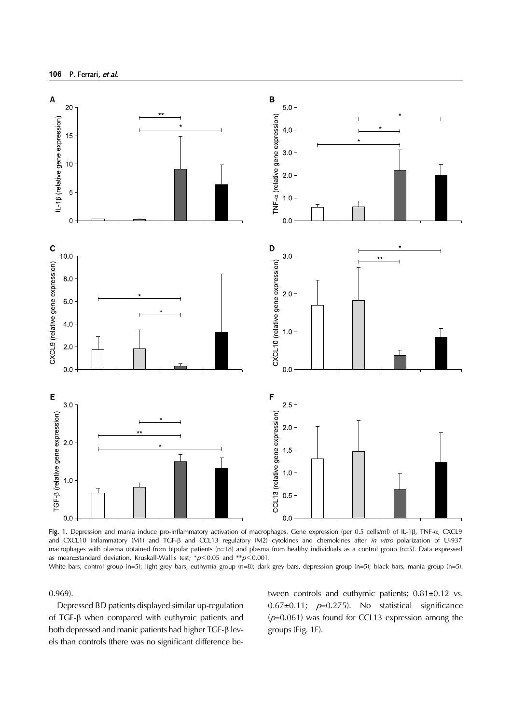

Fig. 1. Depression and mania induce pro-inflammatory activation of macrophages. Gene expression (per 0.5 cells/ml) of IL-1 $\beta$ , TNF- $\alpha$ , CXCL9 and CXCL10 inflammatory (M1) and TGF-B and CCL13 regulatory (M2) cytokines and chemokines after in vitro polarization of U-937 macrophages with plasma obtained from bipolar patients (n=18) and plasma from healthy individuals as a control group (n=5). Data expressed as mean±standard deviation, Kruskall-Wallis test; \* $p$ <0.05 and \*\* $p$ <0.001.

White bars, control group (n=5); light grey bars, euthymia group (n=8); dark grey bars, depression group (n=5); black bars, mania group (n=5).

0.969).

Depressed BD patients displayed similar up-regulation of  $TGF- $\beta$  when compared with euthymic patients and$ both depressed and manic patients had higher  $TGF- $\beta$  lev$ els than controls (there was no significant difference between controls and euthymic patients; 0.81±0.12 vs. 0.67 $\pm$ 0.11;  $p=0.275$ ). No statistical significance  $(p=0.061)$  was found for CCL13 expression among the groups (Fig. 1F).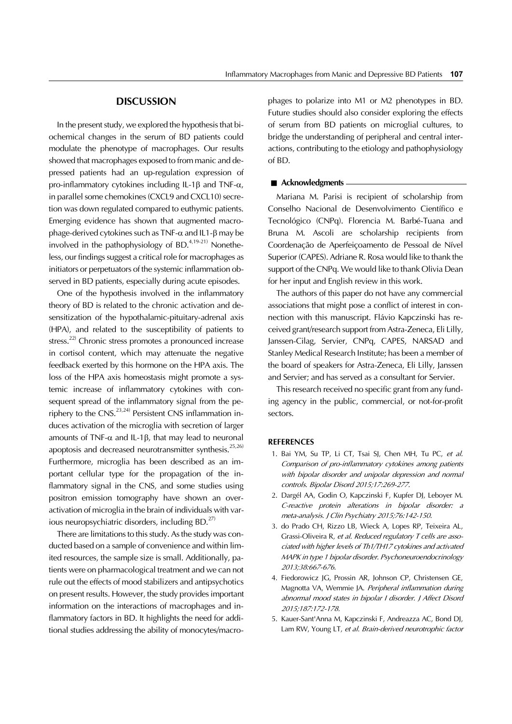# **DISCUSSION**

In the present study, we explored the hypothesis that biochemical changes in the serum of BD patients could modulate the phenotype of macrophages. Our results showed that macrophages exposed to from manic and depressed patients had an up-regulation expression of pro-inflammatory cytokines including IL-1 $\beta$  and TNF- $\alpha$ , in parallel some chemokines (CXCL9 and CXCL10) secretion was down regulated compared to euthymic patients. Emerging evidence has shown that augmented macrophage-derived cytokines such as  $TNF-\alpha$  and  $IL1-\beta$  may be involved in the pathophysiology of BD.<sup>4,19-21)</sup> Nonetheless, our findings suggest a critical role for macrophages as initiators or perpetuators of the systemic inflammation observed in BD patients, especially during acute episodes.

One of the hypothesis involved in the inflammatory theory of BD is related to the chronic activation and desensitization of the hypothalamic-pituitary-adrenal axis (HPA), and related to the susceptibility of patients to stress.<sup>22)</sup> Chronic stress promotes a pronounced increase in cortisol content, which may attenuate the negative feedback exerted by this hormone on the HPA axis. The loss of the HPA axis homeostasis might promote a systemic increase of inflammatory cytokines with consequent spread of the inflammatory signal from the periphery to the CNS.<sup>23,24)</sup> Persistent CNS inflammation induces activation of the microglia with secretion of larger amounts of TNF- $\alpha$  and IL-1 $\beta$ , that may lead to neuronal apoptosis and decreased neurotransmitter synthesis.<sup>25,26)</sup> Furthermore, microglia has been described as an important cellular type for the propagation of the inflammatory signal in the CNS, and some studies using positron emission tomography have shown an overactivation of microglia in the brain of individuals with various neuropsychiatric disorders, including  $BD$ <sup>27)</sup>

There are limitations to this study. As the study was conducted based on a sample of convenience and within limited resources, the sample size is small. Additionally, patients were on pharmacological treatment and we can not rule out the effects of mood stabilizers and antipsychotics on present results. However, the study provides important information on the interactions of macrophages and inflammatory factors in BD. It highlights the need for additional studies addressing the ability of monocytes/macrophages to polarize into M1 or M2 phenotypes in BD. Future studies should also consider exploring the effects of serum from BD patients on microglial cultures, to bridge the understanding of peripheral and central interactions, contributing to the etiology and pathophysiology of BD.

#### ■ **Acknowledgments** –

Mariana M. Parisi is recipient of scholarship from Conselho Nacional de Desenvolvimento Científico e Tecnológico (CNPq). Florencia M. Barbé-Tuana and Bruna M. Ascoli are scholarship recipients from Coordenação de Aperfeiçoamento de Pessoal de Nível Superior (CAPES). Adriane R. Rosa would like to thank the support of the CNPq. We would like to thank Olivia Dean for her input and English review in this work.

The authors of this paper do not have any commercial associations that might pose a conflict of interest in connection with this manuscript. Flávio Kapczinski has received grant/research support from Astra-Zeneca, Eli Lilly, Janssen-Cilag, Servier, CNPq, CAPES, NARSAD and Stanley Medical Research Institute; has been a member of the board of speakers for Astra-Zeneca, Eli Lilly, Janssen and Servier; and has served as a consultant for Servier.

This research received no specific grant from any funding agency in the public, commercial, or not-for-profit sectors.

## **REFERENCES**

- 1. Bai YM, Su TP, Li CT, Tsai SJ, Chen MH, Tu PC, et al. Comparison of pro-inflammatory cytokines among patients with bipolar disorder and unipolar depression and normal controls. Bipolar Disord 2015;17:269-277.
- 2. Dargél AA, Godin O, Kapczinski F, Kupfer DJ, Leboyer M. C-reactive protein alterations in bipolar disorder: a meta-analysis. J Clin Psychiatry 2015;76:142-150.
- 3. do Prado CH, Rizzo LB, Wieck A, Lopes RP, Teixeira AL, Grassi-Oliveira R, et al. Reduced regulatory T cells are associated with higher levels of Th1/TH17 cytokines and activated MAPK in type 1 bipolar disorder. Psychoneuroendocrinology 2013;38:667-676.
- 4. Fiedorowicz JG, Prossin AR, Johnson CP, Christensen GE, Magnotta VA, Wemmie JA. Peripheral inflammation during abnormal mood states in bipolar I disorder. J Affect Disord 2015;187:172-178.
- 5. Kauer-Sant'Anna M, Kapczinski F, Andreazza AC, Bond DJ, Lam RW, Young LT, et al. Brain-derived neurotrophic factor